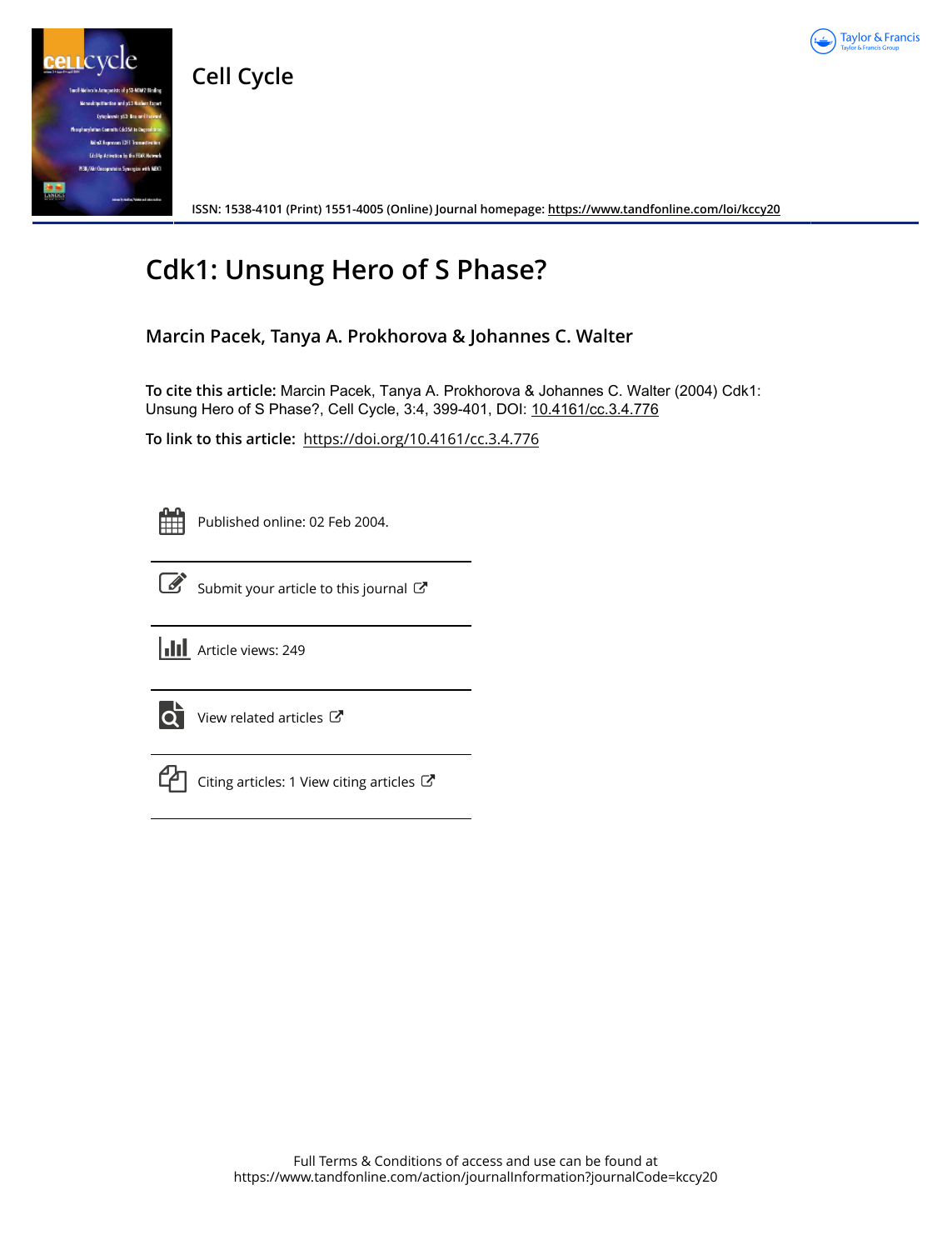

**Cell Cycle**



**ISSN: 1538-4101 (Print) 1551-4005 (Online) Journal homepage:<https://www.tandfonline.com/loi/kccy20>**

## **Cdk1: Unsung Hero of S Phase?**

**Marcin Pacek, Tanya A. Prokhorova & Johannes C. Walter**

**To cite this article:** Marcin Pacek, Tanya A. Prokhorova & Johannes C. Walter (2004) Cdk1: Unsung Hero of S Phase?, Cell Cycle, 3:4, 399-401, DOI: [10.4161/cc.3.4.776](https://www.tandfonline.com/action/showCitFormats?doi=10.4161/cc.3.4.776)

**To link to this article:** <https://doi.org/10.4161/cc.3.4.776>

Published online: 02 Feb 2004.



[Submit your article to this journal](https://www.tandfonline.com/action/authorSubmission?journalCode=kccy20&show=instructions)  $\mathbb{Z}$ 



 $\overrightarrow{Q}$  [View related articles](https://www.tandfonline.com/doi/mlt/10.4161/cc.3.4.776)  $\overrightarrow{C}$ 



 $\mathbb{C}$  [Citing articles: 1 View citing articles](https://www.tandfonline.com/doi/citedby/10.4161/cc.3.4.776#tabModule)  $\mathbb{C}$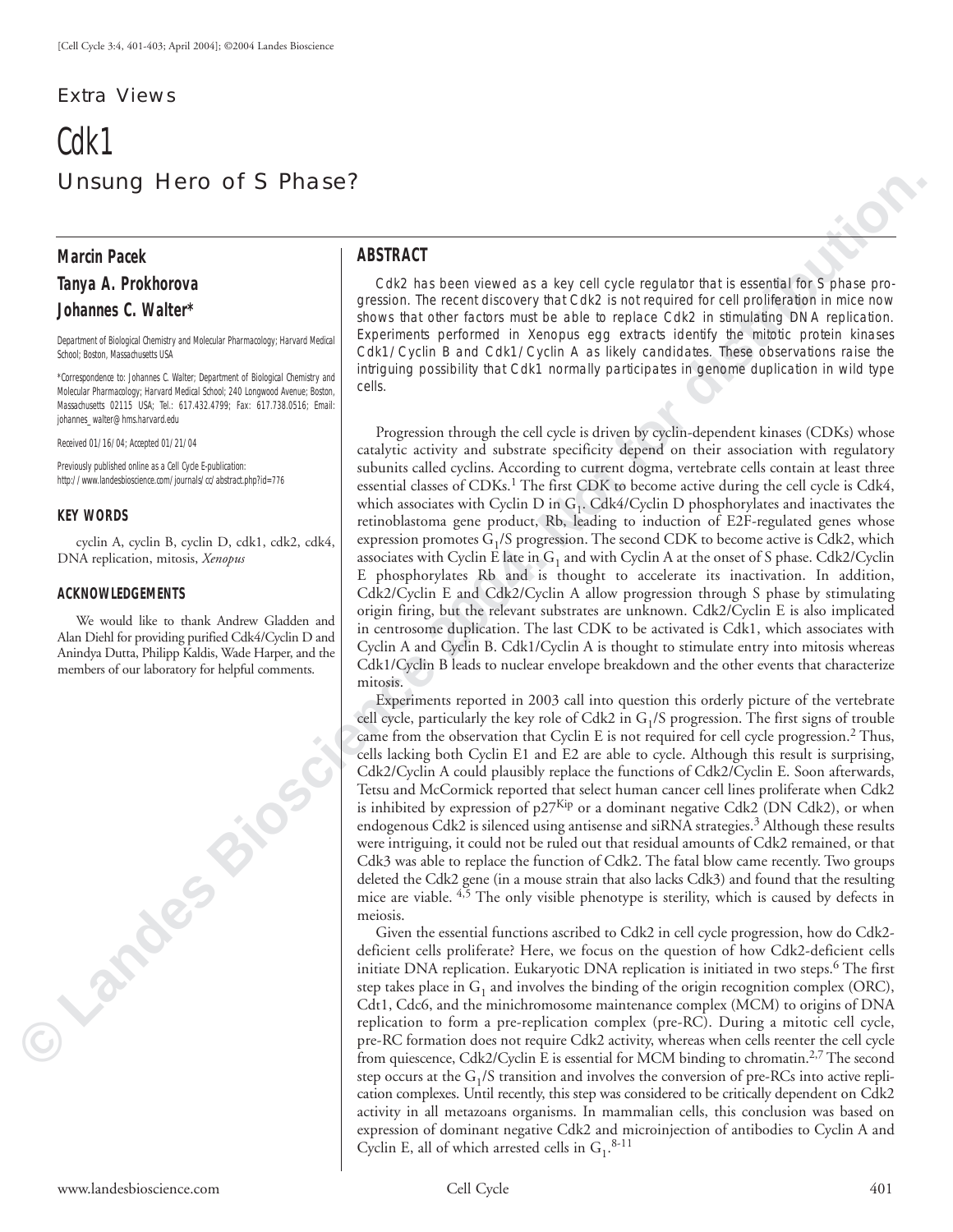## Extra Views

# Cdk1 Unsung Hero of S Phase?

## **Marcin Pacek Tanya A. Prokhorova**

#### **Johannes C. Walter\***

Department of Biological Chemistry and Molecular Pharmacology; Harvard Medical School; Boston, Massachusetts USA

\*Correspondence to: Johannes C. Walter; Department of Biological Chemistry and Molecular Pharmacology; Harvard Medical School; 240 Longwood Avenue; Boston, Massachusetts 02115 USA; Tel.: 617.432.4799; Fax: 617.738.0516; Email: johannes\_walter@hms.harvard.edu

Received 01/16/04; Accepted 01/21/04

Previously published online as a *Cell Cycle* E-publication: http://www.landesbioscience.com/journals/cc/abstract.php?id=776

#### **KEY WORDS**

cyclin A, cyclin B, cyclin D, cdk1, cdk2, cdk4, DNA replication, mitosis, *Xenopus*

#### **ACKNOWLEDGEMENTS**

We would like to thank Andrew Gladden and Alan Diehl for providing purified Cdk4/Cyclin D and Anindya Dutta, Philipp Kaldis, Wade Harper, and the members of our laboratory for helpful comments.

**Candes Bio** 

### **ABSTRACT**

Cdk2 has been viewed as a key cell cycle regulator that is essential for S phase progression. The recent discovery that Cdk2 is not required for cell proliferation in mice now shows that other factors must be able to replace Cdk2 in stimulating DNA replication. Experiments performed in *Xenopus* egg extracts identify the mitotic protein kinases Cdk1/Cyclin B and Cdk1/Cyclin A as likely candidates. These observations raise the intriguing possibility that Cdk1 normally participates in genome duplication in wild type cells.

Progression through the cell cycle is driven by cyclin-dependent kinases (CDKs) whose catalytic activity and substrate specificity depend on their association with regulatory subunits called cyclins. According to current dogma, vertebrate cells contain at least three essential classes of CDKs.<sup>1</sup> The first CDK to become active during the cell cycle is Cdk4, which associates with Cyclin D in  $G_1$ . Cdk4/Cyclin D phosphorylates and inactivates the retinoblastoma gene product, Rb, leading to induction of E2F-regulated genes whose expression promotes  $G_1/S$  progression. The second CDK to become active is Cdk2, which associates with Cyclin E late in  $G_1$  and with Cyclin A at the onset of S phase. Cdk2/Cyclin E phosphorylates Rb and is thought to accelerate its inactivation. In addition, Cdk2/Cyclin E and Cdk2/Cyclin A allow progression through S phase by stimulating origin firing, but the relevant substrates are unknown. Cdk2/Cyclin E is also implicated in centrosome duplication. The last CDK to be activated is Cdk1, which associates with Cyclin A and Cyclin B. Cdk1/Cyclin A is thought to stimulate entry into mitosis whereas Cdk1/Cyclin B leads to nuclear envelope breakdown and the other events that characterize mitosis.

Experiments reported in 2003 call into question this orderly picture of the vertebrate cell cycle, particularly the key role of Cdk2 in  $G_1/S$  progression. The first signs of trouble came from the observation that Cyclin E is not required for cell cycle progression.<sup>2</sup> Thus, cells lacking both Cyclin E1 and E2 are able to cycle. Although this result is surprising, Cdk2/Cyclin A could plausibly replace the functions of Cdk2/Cyclin E. Soon afterwards, Tetsu and McCormick reported that select human cancer cell lines proliferate when Cdk2 is inhibited by expression of  $p27<sup>Kip</sup>$  or a dominant negative Cdk2 (DN Cdk2), or when endogenous Cdk2 is silenced using antisense and siRNA strategies.<sup>3</sup> Although these results were intriguing, it could not be ruled out that residual amounts of Cdk2 remained, or that Cdk3 was able to replace the function of Cdk2. The fatal blow came recently. Two groups deleted the Cdk2 gene (in a mouse strain that also lacks Cdk3) and found that the resulting mice are viable.  $4,5$  The only visible phenotype is sterility, which is caused by defects in meiosis.

Given the essential functions ascribed to Cdk2 in cell cycle progression, how do Cdk2 deficient cells proliferate? Here, we focus on the question of how Cdk2-deficient cells initiate DNA replication. Eukaryotic DNA replication is initiated in two steps.<sup>6</sup> The first step takes place in  $G_1$  and involves the binding of the origin recognition complex (ORC), Cdt1, Cdc6, and the minichromosome maintenance complex (MCM) to origins of DNA replication to form a pre-replication complex (pre-RC). During a mitotic cell cycle, pre-RC formation does not require Cdk2 activity, whereas when cells reenter the cell cycle from quiescence, Cdk2/Cyclin E is essential for MCM binding to chromatin.<sup>2,7</sup> The second step occurs at the  $G_1/S$  transition and involves the conversion of pre-RCs into active replication complexes. Until recently, this step was considered to be critically dependent on Cdk2 activity in all metazoans organisms. In mammalian cells, this conclusion was based on expression of dominant negative Cdk2 and microinjection of antibodies to Cyclin A and Cyclin E, all of which arrested cells in  $G_1$ .<sup>8-11</sup>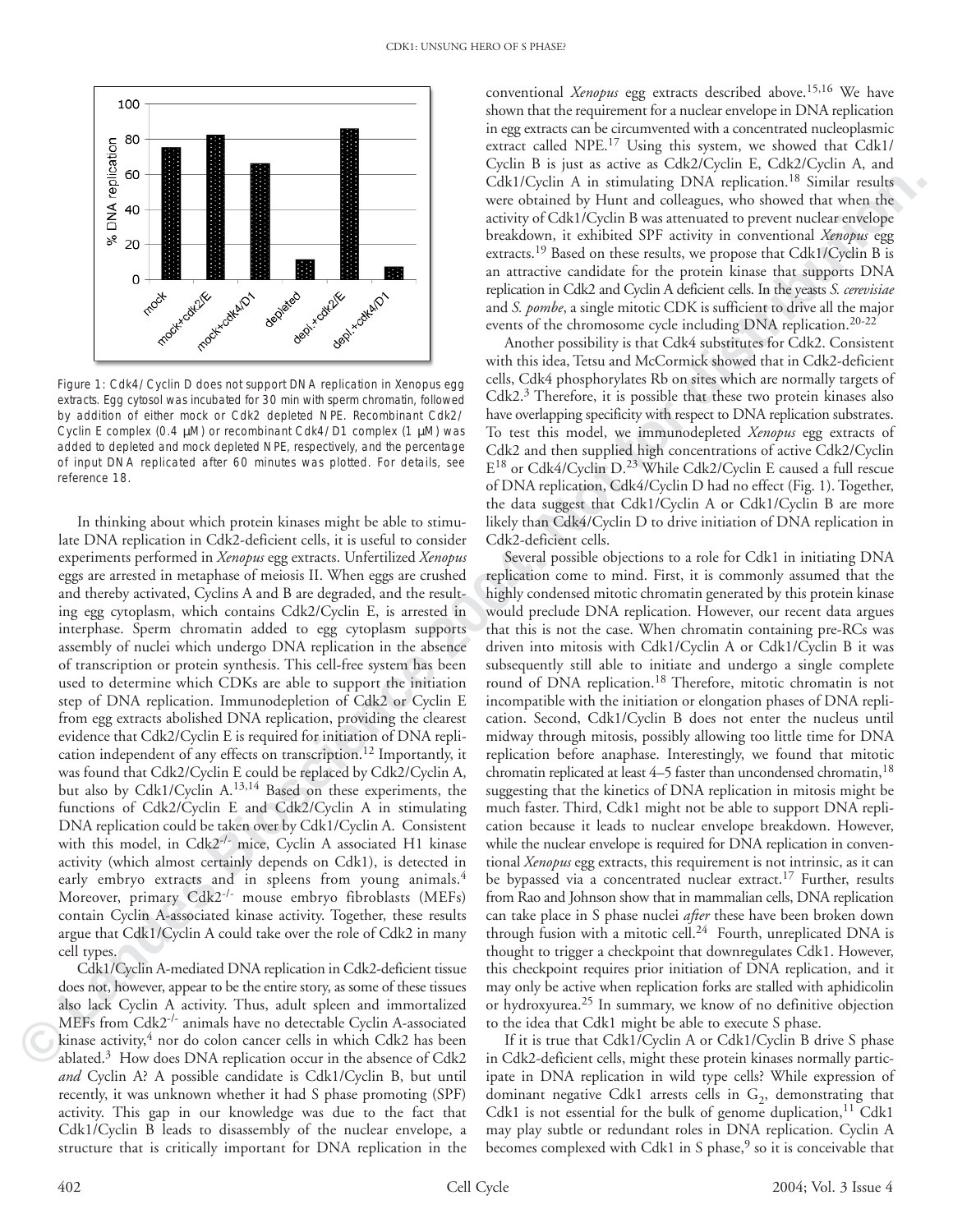

Figure 1: Cdk4/Cyclin D does not support DNA replication in *Xenopus* egg extracts. Egg cytosol was incubated for 30 min with sperm chromatin, followed by addition of either mock or Cdk2 depleted NPE. Recombinant Cdk2/ Cyclin E complex (0.4 µM) or recombinant Cdk4/D1 complex (1 µM) was added to depleted and mock depleted NPE, respectively, and the percentage of input DNA replicated after 60 minutes was plotted. For details, see reference 18.

In thinking about which protein kinases might be able to stimulate DNA replication in Cdk2-deficient cells, it is useful to consider experiments performed in *Xenopus* egg extracts. Unfertilized *Xenopus* eggs are arrested in metaphase of meiosis II. When eggs are crushed and thereby activated, Cyclins A and B are degraded, and the resulting egg cytoplasm, which contains Cdk2/Cyclin E, is arrested in interphase. Sperm chromatin added to egg cytoplasm supports assembly of nuclei which undergo DNA replication in the absence of transcription or protein synthesis. This cell-free system has been used to determine which CDKs are able to support the initiation step of DNA replication. Immunodepletion of Cdk2 or Cyclin E from egg extracts abolished DNA replication, providing the clearest evidence that Cdk2/Cyclin E is required for initiation of DNA replication independent of any effects on transcription.12 Importantly, it was found that Cdk2/Cyclin E could be replaced by Cdk2/Cyclin A, but also by Cdk1/Cyclin A.13,14 Based on these experiments, the functions of Cdk2/Cyclin E and Cdk2/Cyclin A in stimulating DNA replication could be taken over by Cdk1/Cyclin A. Consistent with this model, in Cdk2<sup>-/-</sup> mice, Cyclin A associated H1 kinase activity (which almost certainly depends on Cdk1), is detected in early embryo extracts and in spleens from young animals.<sup>4</sup> Moreover, primary Cdk2-/- mouse embryo fibroblasts (MEFs) contain Cyclin A-associated kinase activity. Together, these results argue that Cdk1/Cyclin A could take over the role of Cdk2 in many cell types.

Cdk1/Cyclin A-mediated DNA replication in Cdk2-deficient tissue does not, however, appear to be the entire story, as some of these tissues also lack Cyclin A activity. Thus, adult spleen and immortalized MEFs from Cdk2-/- animals have no detectable Cyclin A-associated kinase activity, $4$  nor do colon cancer cells in which Cdk2 has been ablated.3 How does DNA replication occur in the absence of Cdk2 *and* Cyclin A? A possible candidate is Cdk1/Cyclin B, but until recently, it was unknown whether it had S phase promoting (SPF) activity. This gap in our knowledge was due to the fact that Cdk1/Cyclin B leads to disassembly of the nuclear envelope, a structure that is critically important for DNA replication in the conventional *Xenopus* egg extracts described above.15,16 We have shown that the requirement for a nuclear envelope in DNA replication in egg extracts can be circumvented with a concentrated nucleoplasmic extract called NPE.17 Using this system, we showed that Cdk1/ Cyclin B is just as active as Cdk2/Cyclin E, Cdk2/Cyclin A, and Cdk1/Cyclin A in stimulating DNA replication.18 Similar results were obtained by Hunt and colleagues, who showed that when the activity of Cdk1/Cyclin B was attenuated to prevent nuclear envelope breakdown, it exhibited SPF activity in conventional *Xenopus* egg extracts.<sup>19</sup> Based on these results, we propose that Cdk1/Cyclin B is an attractive candidate for the protein kinase that supports DNA replication in Cdk2 and Cyclin A deficient cells. In the yeasts *S. cerevisiae* and *S. pombe*, a single mitotic CDK is sufficient to drive all the major events of the chromosome cycle including DNA replication.<sup>20-22</sup>

Another possibility is that Cdk4 substitutes for Cdk2. Consistent with this idea, Tetsu and McCormick showed that in Cdk2-deficient cells, Cdk4 phosphorylates Rb on sites which are normally targets of  $Cdk2<sup>3</sup>$  Therefore, it is possible that these two protein kinases also have overlapping specificity with respect to DNA replication substrates. To test this model, we immunodepleted *Xenopus* egg extracts of Cdk2 and then supplied high concentrations of active Cdk2/Cyclin E18 or Cdk4/Cyclin D.23 While Cdk2/Cyclin E caused a full rescue of DNA replication, Cdk4/Cyclin D had no effect (Fig. 1). Together, the data suggest that Cdk1/Cyclin A or Cdk1/Cyclin B are more likely than Cdk4/Cyclin D to drive initiation of DNA replication in Cdk2-deficient cells.

**E A statistically as a statistically examined by the contribution of the statistical by the contribution of the statistical by the statistical by the statistical by the statistical by the statistical by the statistical** Several possible objections to a role for Cdk1 in initiating DNA replication come to mind. First, it is commonly assumed that the highly condensed mitotic chromatin generated by this protein kinase would preclude DNA replication. However, our recent data argues that this is not the case. When chromatin containing pre-RCs was driven into mitosis with Cdk1/Cyclin A or Cdk1/Cyclin B it was subsequently still able to initiate and undergo a single complete round of DNA replication.18 Therefore, mitotic chromatin is not incompatible with the initiation or elongation phases of DNA replication. Second, Cdk1/Cyclin B does not enter the nucleus until midway through mitosis, possibly allowing too little time for DNA replication before anaphase. Interestingly, we found that mitotic chromatin replicated at least 4–5 faster than uncondensed chromatin,<sup>18</sup> suggesting that the kinetics of DNA replication in mitosis might be much faster. Third, Cdk1 might not be able to support DNA replication because it leads to nuclear envelope breakdown. However, while the nuclear envelope is required for DNA replication in conventional *Xenopus* egg extracts, this requirement is not intrinsic, as it can be bypassed via a concentrated nuclear extract.<sup>17</sup> Further, results from Rao and Johnson show that in mammalian cells, DNA replication can take place in S phase nuclei *after* these have been broken down through fusion with a mitotic cell.<sup>24</sup> Fourth, unreplicated DNA is thought to trigger a checkpoint that downregulates Cdk1. However, this checkpoint requires prior initiation of DNA replication, and it may only be active when replication forks are stalled with aphidicolin or hydroxyurea.25 In summary, we know of no definitive objection to the idea that Cdk1 might be able to execute S phase.

If it is true that Cdk1/Cyclin A or Cdk1/Cyclin B drive S phase in Cdk2-deficient cells, might these protein kinases normally participate in DNA replication in wild type cells? While expression of dominant negative Cdk1 arrests cells in  $G_2$ , demonstrating that Cdk1 is not essential for the bulk of genome duplication,<sup>11</sup> Cdk1 may play subtle or redundant roles in DNA replication. Cyclin A becomes complexed with Cdk1 in S phase,<sup>9</sup> so it is conceivable that